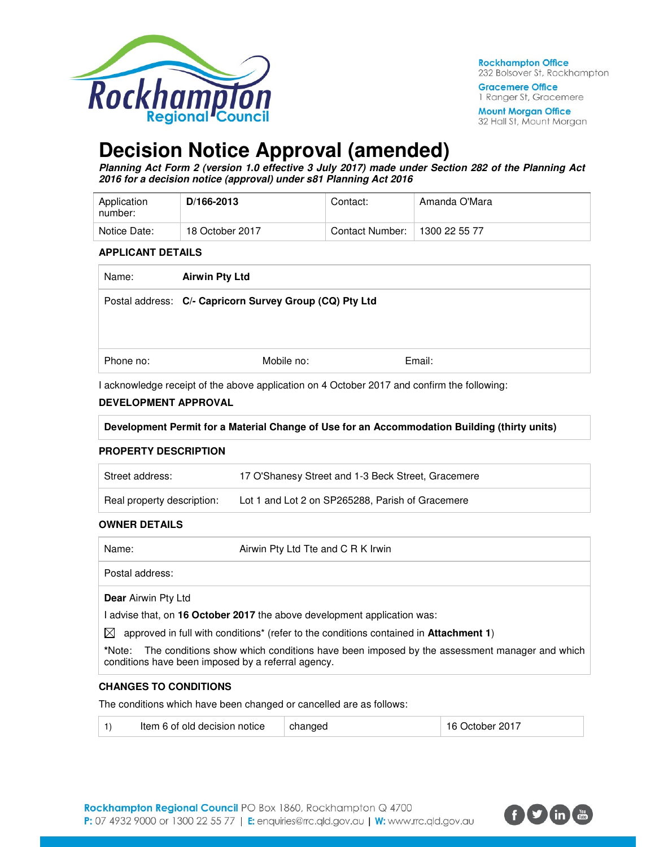

**Rockhampton Office** 232 Bolsover St, Rockhampton

**Gracemere Office** 1 Ranger St, Gracemere **Mount Morgan Office** 32 Hall St, Mount Morgan

**Decision Notice Approval (amended)** 

**Planning Act Form 2 (version 1.0 effective 3 July 2017) made under Section 282 of the Planning Act 2016 for a decision notice (approval) under s81 Planning Act 2016** 

| Application<br>number: | D/166-2013      | Contact:        | Amanda O'Mara |
|------------------------|-----------------|-----------------|---------------|
| Notice Date:           | 18 October 2017 | Contact Number: | 1300 22 55 77 |

#### **APPLICANT DETAILS**

| Name:     | <b>Airwin Pty Ltd</b>                                   |        |  |
|-----------|---------------------------------------------------------|--------|--|
|           | Postal address: C/- Capricorn Survey Group (CQ) Pty Ltd |        |  |
|           |                                                         |        |  |
|           |                                                         |        |  |
| Phone no: | Mobile no:                                              | Email: |  |
|           |                                                         |        |  |

I acknowledge receipt of the above application on 4 October 2017 and confirm the following:

## **DEVELOPMENT APPROVAL**

| Development Permit for a Material Change of Use for an Accommodation Building (thirty units) |
|----------------------------------------------------------------------------------------------|
|----------------------------------------------------------------------------------------------|

#### **PROPERTY DESCRIPTION**

| Street address:            | 17 O'Shanesy Street and 1-3 Beck Street, Gracemere |
|----------------------------|----------------------------------------------------|
| Real property description: | Lot 1 and Lot 2 on SP265288, Parish of Gracemere   |

#### **OWNER DETAILS**

| Airwin Pty Ltd Tte and C R K Irwin<br>Name: |
|---------------------------------------------|
|---------------------------------------------|

Postal address:

**Dear** Airwin Pty Ltd

I advise that, on **16 October 2017** the above development application was:

 $\boxtimes$  approved in full with conditions<sup>\*</sup> (refer to the conditions contained in **Attachment 1**)

**\***Note:The conditions show which conditions have been imposed by the assessment manager and which conditions have been imposed by a referral agency.

#### **CHANGES TO CONDITIONS**

The conditions which have been changed or cancelled are as follows:

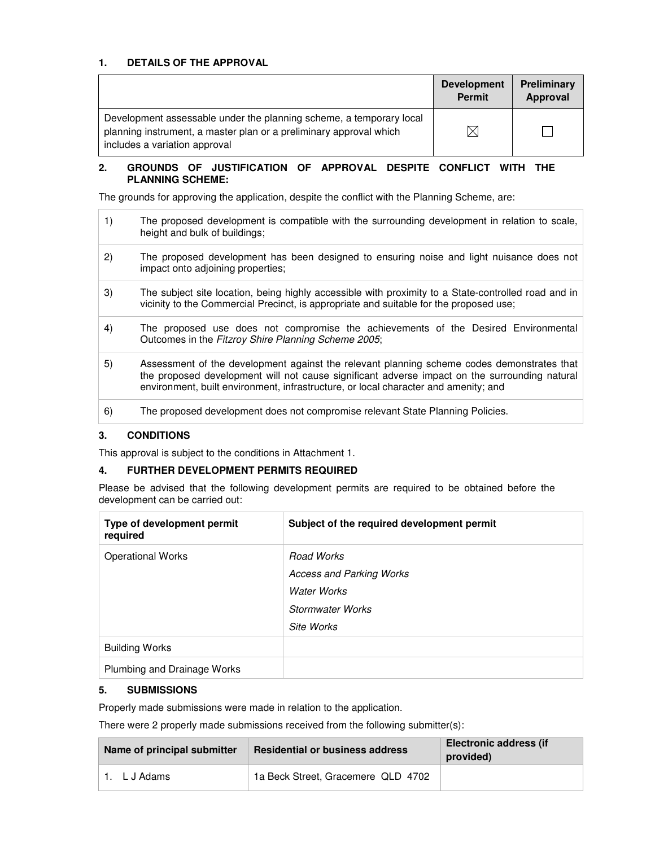## **1. DETAILS OF THE APPROVAL**

|                                                                                                                                                                            | <b>Development</b><br><b>Permit</b> | Preliminary<br>Approval |
|----------------------------------------------------------------------------------------------------------------------------------------------------------------------------|-------------------------------------|-------------------------|
| Development assessable under the planning scheme, a temporary local<br>planning instrument, a master plan or a preliminary approval which<br>includes a variation approval | $\times$                            |                         |

## **2. GROUNDS OF JUSTIFICATION OF APPROVAL DESPITE CONFLICT WITH THE PLANNING SCHEME:**

The grounds for approving the application, despite the conflict with the Planning Scheme, are:

| 1) | The proposed development is compatible with the surrounding development in relation to scale,<br>height and bulk of buildings;                                                                                                                                                     |
|----|------------------------------------------------------------------------------------------------------------------------------------------------------------------------------------------------------------------------------------------------------------------------------------|
| 2) | The proposed development has been designed to ensuring noise and light nuisance does not<br>impact onto adjoining properties;                                                                                                                                                      |
| 3) | The subject site location, being highly accessible with proximity to a State-controlled road and in<br>vicinity to the Commercial Precinct, is appropriate and suitable for the proposed use;                                                                                      |
| 4) | The proposed use does not compromise the achievements of the Desired Environmental<br>Outcomes in the Fitzroy Shire Planning Scheme 2005;                                                                                                                                          |
| 5) | Assessment of the development against the relevant planning scheme codes demonstrates that<br>the proposed development will not cause significant adverse impact on the surrounding natural<br>environment, built environment, infrastructure, or local character and amenity; and |
| 6) | The proposed development does not compromise relevant State Planning Policies.                                                                                                                                                                                                     |

#### **3. CONDITIONS**

This approval is subject to the conditions in Attachment 1.

#### **4. FURTHER DEVELOPMENT PERMITS REQUIRED**

Please be advised that the following development permits are required to be obtained before the development can be carried out:

| Type of development permit<br>required               | Subject of the required development permit                                                     |
|------------------------------------------------------|------------------------------------------------------------------------------------------------|
| <b>Operational Works</b>                             | Road Works<br><b>Access and Parking Works</b><br>Water Works<br>Stormwater Works<br>Site Works |
| <b>Building Works</b><br>Plumbing and Drainage Works |                                                                                                |

#### **5. SUBMISSIONS**

Properly made submissions were made in relation to the application.

There were 2 properly made submissions received from the following submitter(s):

| Name of principal submitter | <b>Residential or business address</b> | <b>Electronic address (if</b><br>provided) |
|-----------------------------|----------------------------------------|--------------------------------------------|
| 1. LJ Adams                 | 1a Beck Street, Gracemere QLD 4702     |                                            |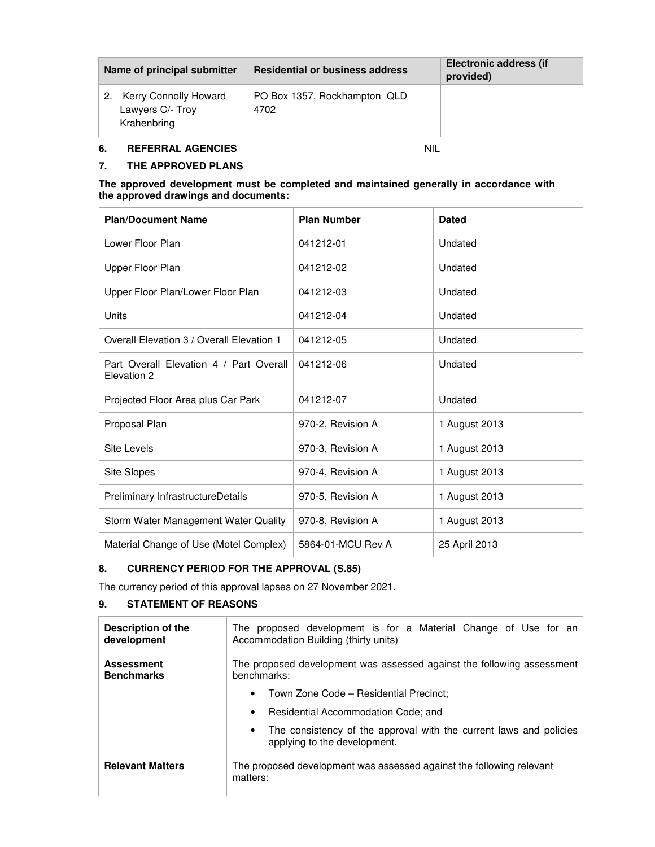| Name of principal submitter                                 | <b>Residential or business address</b> | Electronic address (if<br>provided) |
|-------------------------------------------------------------|----------------------------------------|-------------------------------------|
| 2. Kerry Connolly Howard<br>Lawyers C/- Troy<br>Krahenbring | PO Box 1357, Rockhampton QLD<br>4702   |                                     |

# **6. REFERRAL AGENCIES** NIL

#### **7. THE APPROVED PLANS**

#### **The approved development must be completed and maintained generally in accordance with the approved drawings and documents:**

| <b>Plan/Document Name</b>                              | <b>Plan Number</b> | <b>Dated</b>  |
|--------------------------------------------------------|--------------------|---------------|
| Lower Floor Plan                                       | 041212-01          | Undated       |
| Upper Floor Plan                                       | 041212-02          | Undated       |
| Upper Floor Plan/Lower Floor Plan                      | 041212-03          | Undated       |
| Units                                                  | 041212-04          | Undated       |
| Overall Elevation 3 / Overall Elevation 1              | 041212-05          | Undated       |
| Part Overall Elevation 4 / Part Overall<br>Elevation 2 | 041212-06          | Undated       |
| Projected Floor Area plus Car Park                     | 041212-07          | Undated       |
| Proposal Plan                                          | 970-2, Revision A  | 1 August 2013 |
| Site Levels                                            | 970-3, Revision A  | 1 August 2013 |
| Site Slopes                                            | 970-4, Revision A  | 1 August 2013 |
| Preliminary InfrastructureDetails                      | 970-5, Revision A  | 1 August 2013 |
| Storm Water Management Water Quality                   | 970-8, Revision A  | 1 August 2013 |
| Material Change of Use (Motel Complex)                 | 5864-01-MCU Rev A  | 25 April 2013 |

# **8. CURRENCY PERIOD FOR THE APPROVAL (S.85)**

The currency period of this approval lapses on 27 November 2021.

# **9. STATEMENT OF REASONS**

| Description of the<br>development      | The proposed development is for a Material Change of Use for an<br>Accommodation Building (thirty units)        |  |  |  |
|----------------------------------------|-----------------------------------------------------------------------------------------------------------------|--|--|--|
| <b>Assessment</b><br><b>Benchmarks</b> | The proposed development was assessed against the following assessment<br>benchmarks:                           |  |  |  |
|                                        | Town Zone Code - Residential Precinct:<br>$\bullet$                                                             |  |  |  |
|                                        | Residential Accommodation Code; and<br>$\bullet$                                                                |  |  |  |
|                                        | The consistency of the approval with the current laws and policies<br>$\bullet$<br>applying to the development. |  |  |  |
| <b>Relevant Matters</b>                | The proposed development was assessed against the following relevant<br>matters:                                |  |  |  |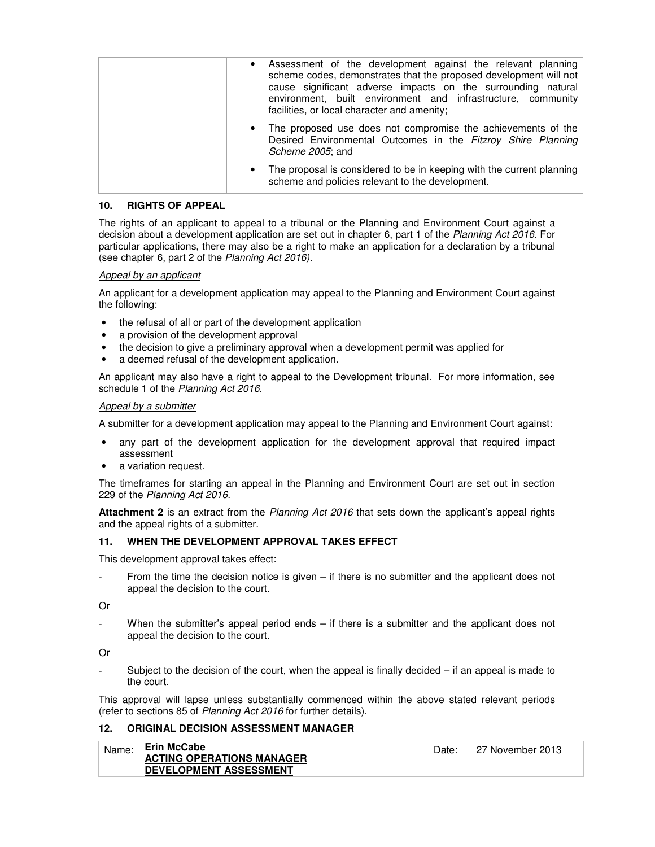| Assessment of the development against the relevant planning<br>$\bullet$<br>scheme codes, demonstrates that the proposed development will not<br>cause significant adverse impacts on the surrounding natural<br>environment, built environment and infrastructure, community<br>facilities, or local character and amenity; |
|------------------------------------------------------------------------------------------------------------------------------------------------------------------------------------------------------------------------------------------------------------------------------------------------------------------------------|
| The proposed use does not compromise the achievements of the<br>Desired Environmental Outcomes in the Fitzroy Shire Planning<br>Scheme 2005; and                                                                                                                                                                             |
| The proposal is considered to be in keeping with the current planning<br>$\bullet$<br>scheme and policies relevant to the development.                                                                                                                                                                                       |

## **10. RIGHTS OF APPEAL**

The rights of an applicant to appeal to a tribunal or the Planning and Environment Court against a decision about a development application are set out in chapter 6, part 1 of the Planning Act 2016. For particular applications, there may also be a right to make an application for a declaration by a tribunal (see chapter 6, part 2 of the Planning Act 2016).

#### Appeal by an applicant

An applicant for a development application may appeal to the Planning and Environment Court against the following:

- the refusal of all or part of the development application
- a provision of the development approval
- the decision to give a preliminary approval when a development permit was applied for
- a deemed refusal of the development application.

An applicant may also have a right to appeal to the Development tribunal. For more information, see schedule 1 of the Planning Act 2016.

#### Appeal by a submitter

A submitter for a development application may appeal to the Planning and Environment Court against:

- any part of the development application for the development approval that required impact assessment
- a variation request.

The timeframes for starting an appeal in the Planning and Environment Court are set out in section 229 of the Planning Act 2016.

**Attachment 2** is an extract from the Planning Act 2016 that sets down the applicant's appeal rights and the appeal rights of a submitter.

#### **11. WHEN THE DEVELOPMENT APPROVAL TAKES EFFECT**

This development approval takes effect:

From the time the decision notice is given – if there is no submitter and the applicant does not appeal the decision to the court.

Or

When the submitter's appeal period ends  $-$  if there is a submitter and the applicant does not appeal the decision to the court.

Or

Subject to the decision of the court, when the appeal is finally decided – if an appeal is made to the court.

This approval will lapse unless substantially commenced within the above stated relevant periods (refer to sections 85 of Planning Act 2016 for further details).

## **12. ORIGINAL DECISION ASSESSMENT MANAGER**

| Name: | Erin McCabe                      | Date: | 27 November 2013 |
|-------|----------------------------------|-------|------------------|
|       | <b>ACTING OPERATIONS MANAGER</b> |       |                  |
|       | <b>DEVELOPMENT ASSESSMENT</b>    |       |                  |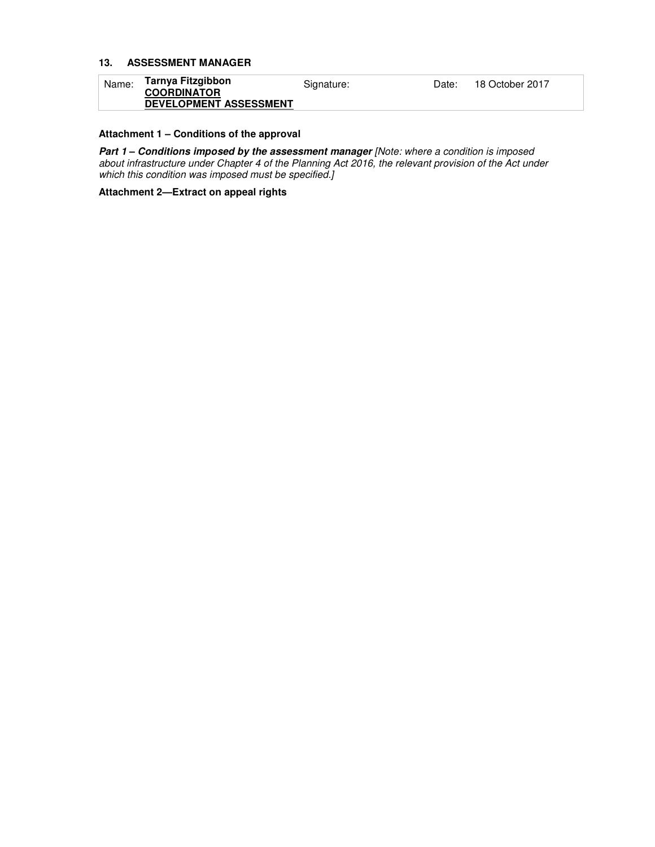## **13. ASSESSMENT MANAGER**

| Name: | Tarnya Fitzgibbon<br><b>COORDINATOR</b> | Signature: | Date: | 18 October 2017 |
|-------|-----------------------------------------|------------|-------|-----------------|
|       | <b>DEVELOPMENT ASSESSMENT</b>           |            |       |                 |

# **Attachment 1 – Conditions of the approval**

**Part 1 – Conditions imposed by the assessment manager [Note: where a condition is imposed** about infrastructure under Chapter 4 of the Planning Act 2016, the relevant provision of the Act under which this condition was imposed must be specified.]

**Attachment 2—Extract on appeal rights**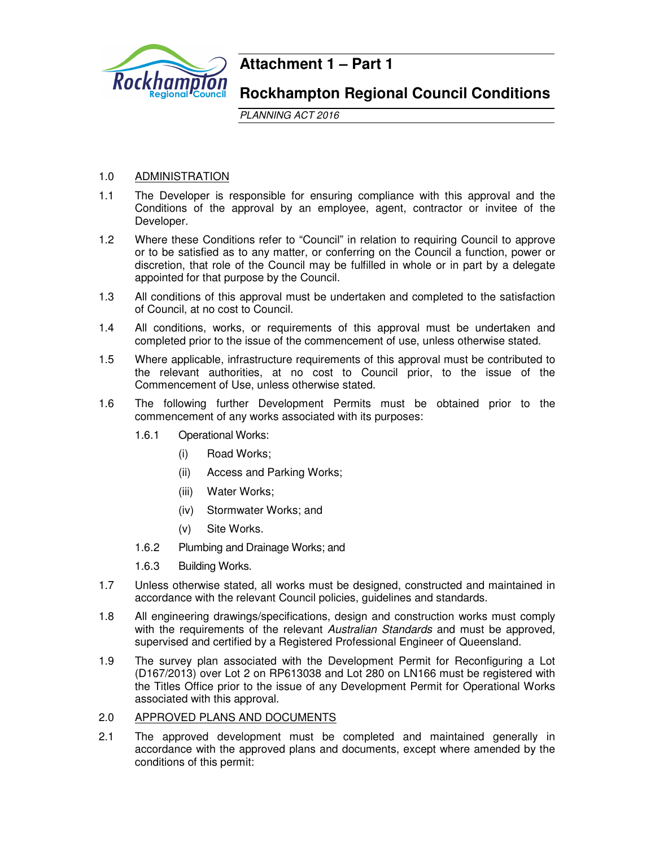

# **Attachment 1 – Part 1**

# **Rockhampton Regional Council Conditions**

PLANNING ACT 2016

# 1.0 ADMINISTRATION

- 1.1 The Developer is responsible for ensuring compliance with this approval and the Conditions of the approval by an employee, agent, contractor or invitee of the Developer.
- 1.2 Where these Conditions refer to "Council" in relation to requiring Council to approve or to be satisfied as to any matter, or conferring on the Council a function, power or discretion, that role of the Council may be fulfilled in whole or in part by a delegate appointed for that purpose by the Council.
- 1.3 All conditions of this approval must be undertaken and completed to the satisfaction of Council, at no cost to Council.
- 1.4 All conditions, works, or requirements of this approval must be undertaken and completed prior to the issue of the commencement of use, unless otherwise stated.
- 1.5 Where applicable, infrastructure requirements of this approval must be contributed to the relevant authorities, at no cost to Council prior, to the issue of the Commencement of Use, unless otherwise stated.
- 1.6 The following further Development Permits must be obtained prior to the commencement of any works associated with its purposes:
	- 1.6.1 Operational Works:
		- (i) Road Works;
		- (ii) Access and Parking Works;
		- (iii) Water Works;
		- (iv) Stormwater Works; and
		- (v) Site Works.
	- 1.6.2 Plumbing and Drainage Works; and
	- 1.6.3 Building Works.
- 1.7 Unless otherwise stated, all works must be designed, constructed and maintained in accordance with the relevant Council policies, guidelines and standards.
- 1.8 All engineering drawings/specifications, design and construction works must comply with the requirements of the relevant Australian Standards and must be approved, supervised and certified by a Registered Professional Engineer of Queensland.
- 1.9 The survey plan associated with the Development Permit for Reconfiguring a Lot (D167/2013) over Lot 2 on RP613038 and Lot 280 on LN166 must be registered with the Titles Office prior to the issue of any Development Permit for Operational Works associated with this approval.

## 2.0 APPROVED PLANS AND DOCUMENTS

2.1 The approved development must be completed and maintained generally in accordance with the approved plans and documents, except where amended by the conditions of this permit: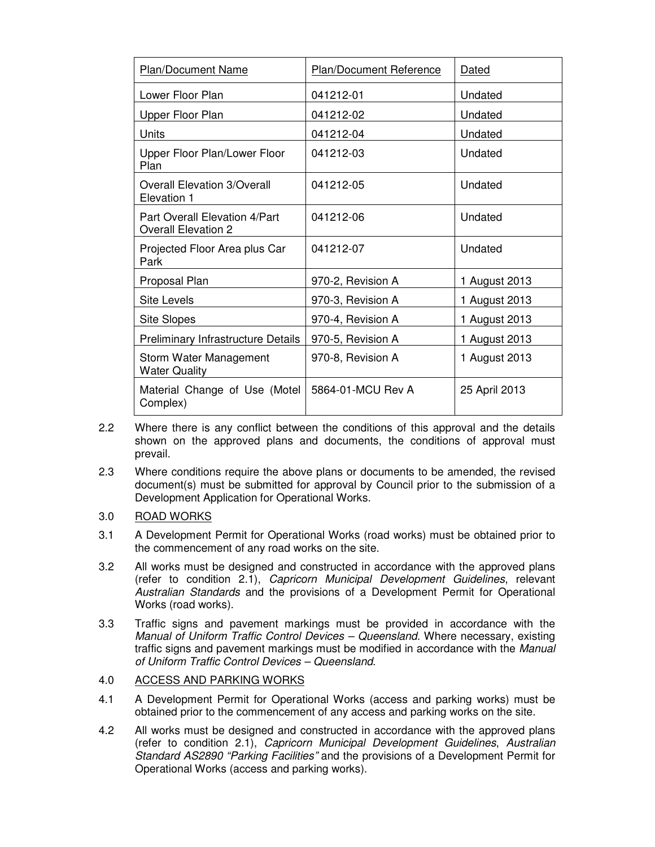| <b>Plan/Document Name</b>                                   | <b>Plan/Document Reference</b> | Dated         |
|-------------------------------------------------------------|--------------------------------|---------------|
| Lower Floor Plan                                            | 041212-01                      | Undated       |
| Upper Floor Plan                                            | 041212-02                      | Undated       |
| Units                                                       | 041212-04                      | Undated       |
| Upper Floor Plan/Lower Floor<br>Plan                        | 041212-03                      | Undated       |
| <b>Overall Elevation 3/Overall</b><br>Elevation 1           | 041212-05                      | Undated       |
| Part Overall Elevation 4/Part<br><b>Overall Elevation 2</b> | 041212-06                      | Undated       |
| Projected Floor Area plus Car<br>Park                       | 041212-07                      | Undated       |
| Proposal Plan                                               | 970-2, Revision A              | 1 August 2013 |
| <b>Site Levels</b>                                          | 970-3, Revision A              | 1 August 2013 |
| <b>Site Slopes</b>                                          | 970-4, Revision A              | 1 August 2013 |
| <b>Preliminary Infrastructure Details</b>                   | 970-5, Revision A              | 1 August 2013 |
| Storm Water Management<br><b>Water Quality</b>              | 970-8, Revision A              | 1 August 2013 |
| Material Change of Use (Motel<br>Complex)                   | 5864-01-MCU Rev A              | 25 April 2013 |

- 2.2 Where there is any conflict between the conditions of this approval and the details shown on the approved plans and documents, the conditions of approval must prevail.
- 2.3 Where conditions require the above plans or documents to be amended, the revised document(s) must be submitted for approval by Council prior to the submission of a Development Application for Operational Works.
- 3.0 ROAD WORKS
- 3.1 A Development Permit for Operational Works (road works) must be obtained prior to the commencement of any road works on the site.
- 3.2 All works must be designed and constructed in accordance with the approved plans (refer to condition 2.1), Capricorn Municipal Development Guidelines, relevant Australian Standards and the provisions of a Development Permit for Operational Works (road works).
- 3.3 Traffic signs and pavement markings must be provided in accordance with the Manual of Uniform Traffic Control Devices – Queensland. Where necessary, existing traffic signs and pavement markings must be modified in accordance with the Manual of Uniform Traffic Control Devices – Queensland.
- 4.0 ACCESS AND PARKING WORKS
- 4.1 A Development Permit for Operational Works (access and parking works) must be obtained prior to the commencement of any access and parking works on the site.
- 4.2 All works must be designed and constructed in accordance with the approved plans (refer to condition 2.1), Capricorn Municipal Development Guidelines, Australian Standard AS2890 "Parking Facilities" and the provisions of a Development Permit for Operational Works (access and parking works).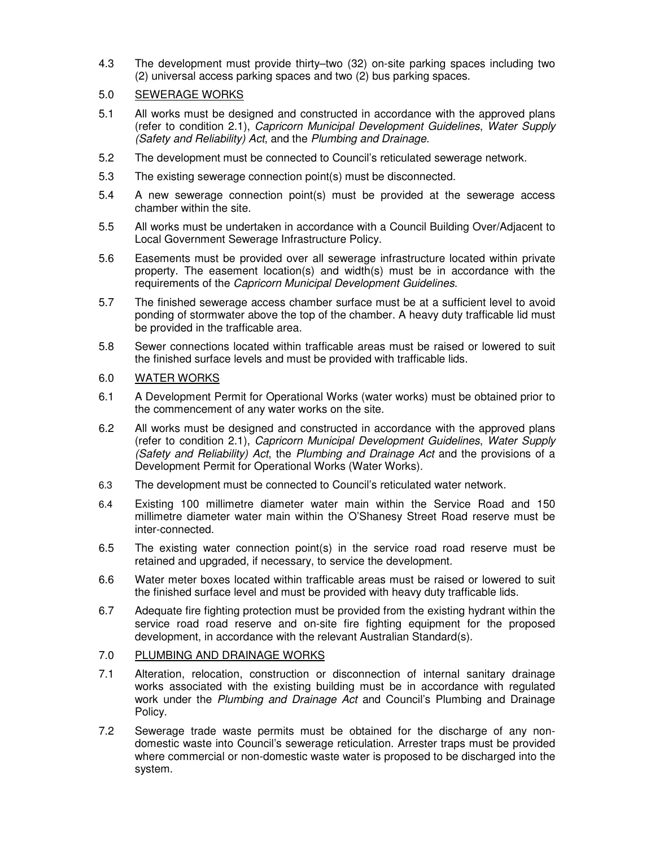4.3 The development must provide thirty–two (32) on-site parking spaces including two (2) universal access parking spaces and two (2) bus parking spaces.

# 5.0 SEWERAGE WORKS

- 5.1 All works must be designed and constructed in accordance with the approved plans (refer to condition 2.1), Capricorn Municipal Development Guidelines, Water Supply (Safety and Reliability) Act, and the Plumbing and Drainage.
- 5.2 The development must be connected to Council's reticulated sewerage network.
- 5.3 The existing sewerage connection point(s) must be disconnected.
- 5.4 A new sewerage connection point(s) must be provided at the sewerage access chamber within the site.
- 5.5 All works must be undertaken in accordance with a Council Building Over/Adjacent to Local Government Sewerage Infrastructure Policy.
- 5.6 Easements must be provided over all sewerage infrastructure located within private property. The easement location(s) and width(s) must be in accordance with the requirements of the Capricorn Municipal Development Guidelines.
- 5.7 The finished sewerage access chamber surface must be at a sufficient level to avoid ponding of stormwater above the top of the chamber. A heavy duty trafficable lid must be provided in the trafficable area.
- 5.8 Sewer connections located within trafficable areas must be raised or lowered to suit the finished surface levels and must be provided with trafficable lids.

# 6.0 WATER WORKS

- 6.1 A Development Permit for Operational Works (water works) must be obtained prior to the commencement of any water works on the site.
- 6.2 All works must be designed and constructed in accordance with the approved plans (refer to condition 2.1), Capricorn Municipal Development Guidelines, Water Supply (Safety and Reliability) Act, the Plumbing and Drainage Act and the provisions of a Development Permit for Operational Works (Water Works).
- 6.3 The development must be connected to Council's reticulated water network.
- 6.4 Existing 100 millimetre diameter water main within the Service Road and 150 millimetre diameter water main within the O'Shanesy Street Road reserve must be inter-connected.
- 6.5 The existing water connection point(s) in the service road road reserve must be retained and upgraded, if necessary, to service the development.
- 6.6 Water meter boxes located within trafficable areas must be raised or lowered to suit the finished surface level and must be provided with heavy duty trafficable lids.
- 6.7 Adequate fire fighting protection must be provided from the existing hydrant within the service road road reserve and on-site fire fighting equipment for the proposed development, in accordance with the relevant Australian Standard(s).

# 7.0 PLUMBING AND DRAINAGE WORKS

- 7.1 Alteration, relocation, construction or disconnection of internal sanitary drainage works associated with the existing building must be in accordance with regulated work under the Plumbing and Drainage Act and Council's Plumbing and Drainage Policy.
- 7.2 Sewerage trade waste permits must be obtained for the discharge of any nondomestic waste into Council's sewerage reticulation. Arrester traps must be provided where commercial or non-domestic waste water is proposed to be discharged into the system.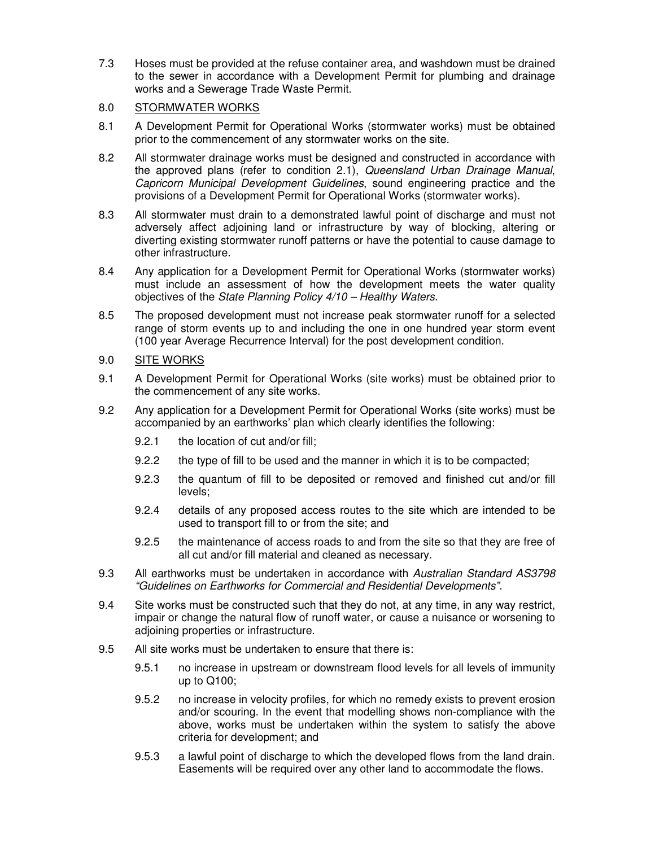7.3 Hoses must be provided at the refuse container area, and washdown must be drained to the sewer in accordance with a Development Permit for plumbing and drainage works and a Sewerage Trade Waste Permit.

# 8.0 STORMWATER WORKS

- 8.1 A Development Permit for Operational Works (stormwater works) must be obtained prior to the commencement of any stormwater works on the site.
- 8.2 All stormwater drainage works must be designed and constructed in accordance with the approved plans (refer to condition 2.1), Queensland Urban Drainage Manual, Capricorn Municipal Development Guidelines, sound engineering practice and the provisions of a Development Permit for Operational Works (stormwater works).
- 8.3 All stormwater must drain to a demonstrated lawful point of discharge and must not adversely affect adjoining land or infrastructure by way of blocking, altering or diverting existing stormwater runoff patterns or have the potential to cause damage to other infrastructure.
- 8.4 Any application for a Development Permit for Operational Works (stormwater works) must include an assessment of how the development meets the water quality objectives of the State Planning Policy 4/10 – Healthy Waters.
- 8.5 The proposed development must not increase peak stormwater runoff for a selected range of storm events up to and including the one in one hundred year storm event (100 year Average Recurrence Interval) for the post development condition.

# 9.0 SITE WORKS

- 9.1 A Development Permit for Operational Works (site works) must be obtained prior to the commencement of any site works.
- 9.2 Any application for a Development Permit for Operational Works (site works) must be accompanied by an earthworks' plan which clearly identifies the following:
	- 9.2.1 the location of cut and/or fill;
	- 9.2.2 the type of fill to be used and the manner in which it is to be compacted;
	- 9.2.3 the quantum of fill to be deposited or removed and finished cut and/or fill levels;
	- 9.2.4 details of any proposed access routes to the site which are intended to be used to transport fill to or from the site; and
	- 9.2.5 the maintenance of access roads to and from the site so that they are free of all cut and/or fill material and cleaned as necessary.
- 9.3 All earthworks must be undertaken in accordance with Australian Standard AS3798 "Guidelines on Earthworks for Commercial and Residential Developments".
- 9.4 Site works must be constructed such that they do not, at any time, in any way restrict, impair or change the natural flow of runoff water, or cause a nuisance or worsening to adjoining properties or infrastructure.
- 9.5 All site works must be undertaken to ensure that there is:
	- 9.5.1 no increase in upstream or downstream flood levels for all levels of immunity up to Q100;
	- 9.5.2 no increase in velocity profiles, for which no remedy exists to prevent erosion and/or scouring. In the event that modelling shows non-compliance with the above, works must be undertaken within the system to satisfy the above criteria for development; and
	- 9.5.3 a lawful point of discharge to which the developed flows from the land drain. Easements will be required over any other land to accommodate the flows.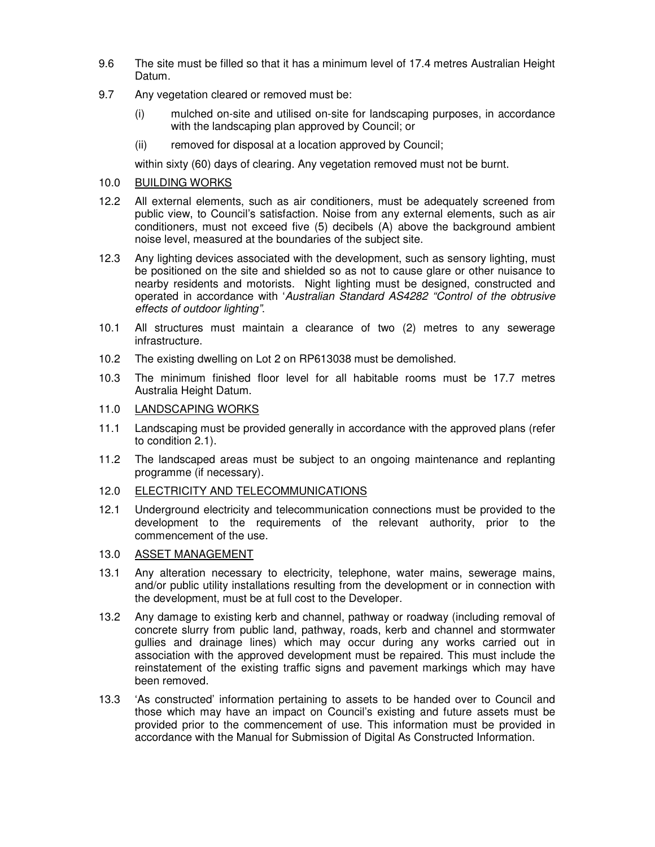- 9.6 The site must be filled so that it has a minimum level of 17.4 metres Australian Height Datum.
- 9.7 Any vegetation cleared or removed must be:
	- (i) mulched on-site and utilised on-site for landscaping purposes, in accordance with the landscaping plan approved by Council; or
	- (ii) removed for disposal at a location approved by Council;

within sixty (60) days of clearing. Any vegetation removed must not be burnt.

# 10.0 BUILDING WORKS

- 12.2 All external elements, such as air conditioners, must be adequately screened from public view, to Council's satisfaction. Noise from any external elements, such as air conditioners, must not exceed five (5) decibels (A) above the background ambient noise level, measured at the boundaries of the subject site.
- 12.3 Any lighting devices associated with the development, such as sensory lighting, must be positioned on the site and shielded so as not to cause glare or other nuisance to nearby residents and motorists. Night lighting must be designed, constructed and operated in accordance with 'Australian Standard AS4282 "Control of the obtrusive effects of outdoor lighting".
- 10.1 All structures must maintain a clearance of two (2) metres to any sewerage infrastructure.
- 10.2 The existing dwelling on Lot 2 on RP613038 must be demolished.
- 10.3 The minimum finished floor level for all habitable rooms must be 17.7 metres Australia Height Datum.

# 11.0 LANDSCAPING WORKS

- 11.1 Landscaping must be provided generally in accordance with the approved plans (refer to condition 2.1).
- 11.2 The landscaped areas must be subject to an ongoing maintenance and replanting programme (if necessary).
- 12.0 ELECTRICITY AND TELECOMMUNICATIONS
- 12.1 Underground electricity and telecommunication connections must be provided to the development to the requirements of the relevant authority, prior to the commencement of the use.

# 13.0 ASSET MANAGEMENT

- 13.1 Any alteration necessary to electricity, telephone, water mains, sewerage mains, and/or public utility installations resulting from the development or in connection with the development, must be at full cost to the Developer.
- 13.2 Any damage to existing kerb and channel, pathway or roadway (including removal of concrete slurry from public land, pathway, roads, kerb and channel and stormwater gullies and drainage lines) which may occur during any works carried out in association with the approved development must be repaired. This must include the reinstatement of the existing traffic signs and pavement markings which may have been removed.
- 13.3 'As constructed' information pertaining to assets to be handed over to Council and those which may have an impact on Council's existing and future assets must be provided prior to the commencement of use. This information must be provided in accordance with the Manual for Submission of Digital As Constructed Information.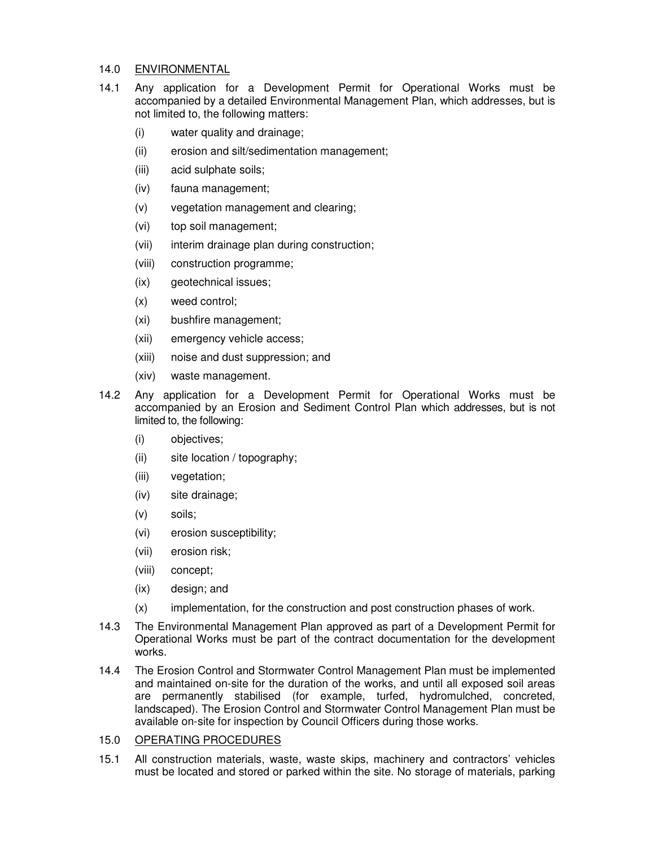## 14.0 ENVIRONMENTAL

- 14.1 Any application for a Development Permit for Operational Works must be accompanied by a detailed Environmental Management Plan, which addresses, but is not limited to, the following matters:
	- (i) water quality and drainage;
	- (ii) erosion and silt/sedimentation management;
	- (iii) acid sulphate soils;
	- (iv) fauna management;
	- (v) vegetation management and clearing;
	- (vi) top soil management;
	- (vii) interim drainage plan during construction;
	- (viii) construction programme;
	- (ix) geotechnical issues;
	- (x) weed control;
	- (xi) bushfire management;
	- (xii) emergency vehicle access;
	- (xiii) noise and dust suppression; and
	- (xiv) waste management.
- 14.2 Any application for a Development Permit for Operational Works must be accompanied by an Erosion and Sediment Control Plan which addresses, but is not limited to, the following:
	- (i) objectives;
	- (ii) site location / topography;
	- (iii) vegetation;
	- (iv) site drainage;
	- (v) soils;
	- (vi) erosion susceptibility;
	- (vii) erosion risk;
	- (viii) concept;
	- (ix) design; and
	- (x) implementation, for the construction and post construction phases of work.
- 14.3 The Environmental Management Plan approved as part of a Development Permit for Operational Works must be part of the contract documentation for the development works.
- 14.4 The Erosion Control and Stormwater Control Management Plan must be implemented and maintained on-site for the duration of the works, and until all exposed soil areas are permanently stabilised (for example, turfed, hydromulched, concreted, landscaped). The Erosion Control and Stormwater Control Management Plan must be available on-site for inspection by Council Officers during those works.

# 15.0 OPERATING PROCEDURES

15.1 All construction materials, waste, waste skips, machinery and contractors' vehicles must be located and stored or parked within the site. No storage of materials, parking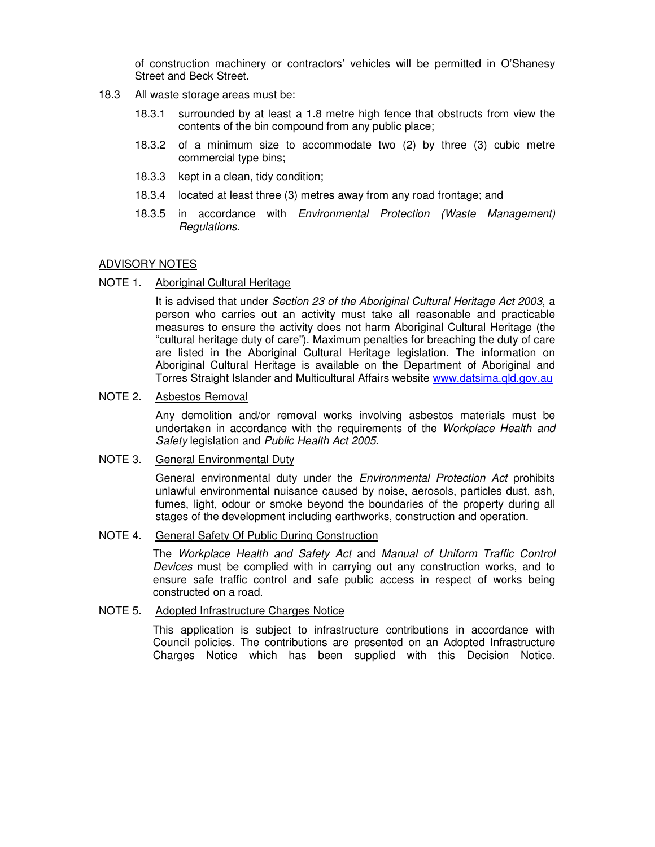of construction machinery or contractors' vehicles will be permitted in O'Shanesy Street and Beck Street.

- 18.3 All waste storage areas must be:
	- 18.3.1 surrounded by at least a 1.8 metre high fence that obstructs from view the contents of the bin compound from any public place;
	- 18.3.2 of a minimum size to accommodate two (2) by three (3) cubic metre commercial type bins;
	- 18.3.3 kept in a clean, tidy condition;
	- 18.3.4 located at least three (3) metres away from any road frontage; and
	- 18.3.5 in accordance with Environmental Protection (Waste Management) Regulations.

## ADVISORY NOTES

#### NOTE 1. Aboriginal Cultural Heritage

It is advised that under Section 23 of the Aboriginal Cultural Heritage Act 2003, a person who carries out an activity must take all reasonable and practicable measures to ensure the activity does not harm Aboriginal Cultural Heritage (the "cultural heritage duty of care"). Maximum penalties for breaching the duty of care are listed in the Aboriginal Cultural Heritage legislation. The information on Aboriginal Cultural Heritage is available on the Department of Aboriginal and Torres Straight Islander and Multicultural Affairs website www.datsima.qld.gov.au

#### NOTE 2. Asbestos Removal

Any demolition and/or removal works involving asbestos materials must be undertaken in accordance with the requirements of the Workplace Health and Safety legislation and Public Health Act 2005.

#### NOTE 3. General Environmental Duty

General environmental duty under the *Environmental Protection Act* prohibits unlawful environmental nuisance caused by noise, aerosols, particles dust, ash, fumes, light, odour or smoke beyond the boundaries of the property during all stages of the development including earthworks, construction and operation.

#### NOTE 4. General Safety Of Public During Construction

The Workplace Health and Safety Act and Manual of Uniform Traffic Control Devices must be complied with in carrying out any construction works, and to ensure safe traffic control and safe public access in respect of works being constructed on a road.

## NOTE 5. Adopted Infrastructure Charges Notice

This application is subject to infrastructure contributions in accordance with Council policies. The contributions are presented on an Adopted Infrastructure Charges Notice which has been supplied with this Decision Notice.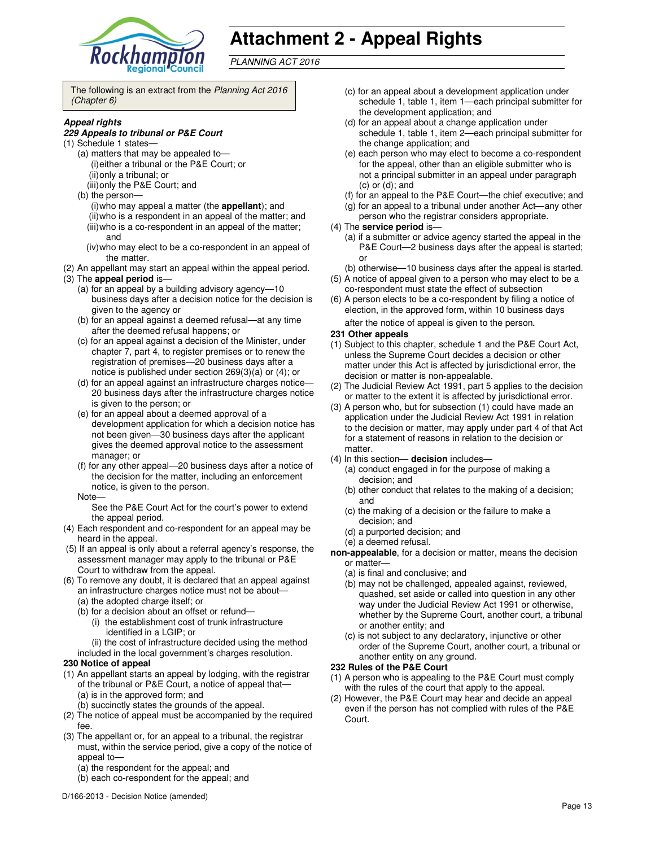

# **Attachment 2 - Appeal Rights**

PLANNING ACT 2016

The following is an extract from the Planning Act 2016 (Chapter 6)

#### **Appeal rights**

#### **229 Appeals to tribunal or P&E Court**

- (1) Schedule 1 states—
	- (a) matters that may be appealed to— (i) either a tribunal or the P&E Court; or (ii) only a tribunal; or (iii) only the P&E Court; and
	- (b) the person—
		- (i) who may appeal a matter (the **appellant**); and (ii) who is a respondent in an appeal of the matter; and (iii) who is a co-respondent in an appeal of the matter; and
		- (iv) who may elect to be a co-respondent in an appeal of the matter.
- (2) An appellant may start an appeal within the appeal period.
- (3) The **appeal period** is—
	- (a) for an appeal by a building advisory agency—10 business days after a decision notice for the decision is given to the agency or
	- (b) for an appeal against a deemed refusal—at any time after the deemed refusal happens; or
	- (c) for an appeal against a decision of the Minister, under chapter 7, part 4, to register premises or to renew the registration of premises—20 business days after a notice is published under section 269(3)(a) or (4); or
	- (d) for an appeal against an infrastructure charges notice— 20 business days after the infrastructure charges notice is given to the person; or
	- (e) for an appeal about a deemed approval of a development application for which a decision notice has not been given—30 business days after the applicant gives the deemed approval notice to the assessment manager; or
	- (f) for any other appeal—20 business days after a notice of the decision for the matter, including an enforcement notice, is given to the person.
	- Note—

See the P&E Court Act for the court's power to extend the appeal period.

- (4) Each respondent and co-respondent for an appeal may be heard in the appeal.
- (5) If an appeal is only about a referral agency's response, the assessment manager may apply to the tribunal or P&E Court to withdraw from the appeal.
- (6) To remove any doubt, it is declared that an appeal against an infrastructure charges notice must not be about—
	- (a) the adopted charge itself; or
	- (b) for a decision about an offset or refund—
		- (i) the establishment cost of trunk infrastructure identified in a LGIP; or
	- (ii) the cost of infrastructure decided using the method included in the local government's charges resolution.

#### **230 Notice of appeal**

- (1) An appellant starts an appeal by lodging, with the registrar of the tribunal or P&E Court, a notice of appeal that— (a) is in the approved form; and
	- (b) succinctly states the grounds of the appeal.
- (2) The notice of appeal must be accompanied by the required fee.
- (3) The appellant or, for an appeal to a tribunal, the registrar must, within the service period, give a copy of the notice of appeal to-
	- (a) the respondent for the appeal; and
	- (b) each co-respondent for the appeal; and
- (c) for an appeal about a development application under schedule 1, table 1, item 1—each principal submitter for the development application; and
- (d) for an appeal about a change application under schedule 1, table 1, item 2—each principal submitter for the change application; and
- (e) each person who may elect to become a co-respondent for the appeal, other than an eligible submitter who is not a principal submitter in an appeal under paragraph (c) or (d); and
- (f) for an appeal to the P&E Court—the chief executive; and
- (g) for an appeal to a tribunal under another Act—any other
- person who the registrar considers appropriate.

#### (4) The **service period** is—

- (a) if a submitter or advice agency started the appeal in the P&E Court-2 business days after the appeal is started; or
- (b) otherwise—10 business days after the appeal is started.
- (5) A notice of appeal given to a person who may elect to be a co-respondent must state the effect of subsection
- (6) A person elects to be a co-respondent by filing a notice of election, in the approved form, within 10 business days after the notice of appeal is given to the person*.*

#### **231 Other appeals**

- (1) Subject to this chapter, schedule 1 and the P&E Court Act, unless the Supreme Court decides a decision or other matter under this Act is affected by jurisdictional error, the decision or matter is non-appealable.
- (2) The Judicial Review Act 1991, part 5 applies to the decision or matter to the extent it is affected by jurisdictional error.
- (3) A person who, but for subsection (1) could have made an application under the Judicial Review Act 1991 in relation to the decision or matter, may apply under part 4 of that Act for a statement of reasons in relation to the decision or matter.
- (4) In this section— **decision** includes—
	- (a) conduct engaged in for the purpose of making a decision; and
	- (b) other conduct that relates to the making of a decision; and
	- (c) the making of a decision or the failure to make a decision; and
	- (d) a purported decision; and
	- (e) a deemed refusal.
- **non-appealable**, for a decision or matter, means the decision or matter—
	- (a) is final and conclusive; and
	- (b) may not be challenged, appealed against, reviewed, quashed, set aside or called into question in any other way under the Judicial Review Act 1991 or otherwise, whether by the Supreme Court, another court, a tribunal or another entity; and
	- (c) is not subject to any declaratory, injunctive or other order of the Supreme Court, another court, a tribunal or another entity on any ground.

#### **232 Rules of the P&E Court**

- (1) A person who is appealing to the P&E Court must comply with the rules of the court that apply to the appeal.
- (2) However, the P&E Court may hear and decide an appeal even if the person has not complied with rules of the P&E Court.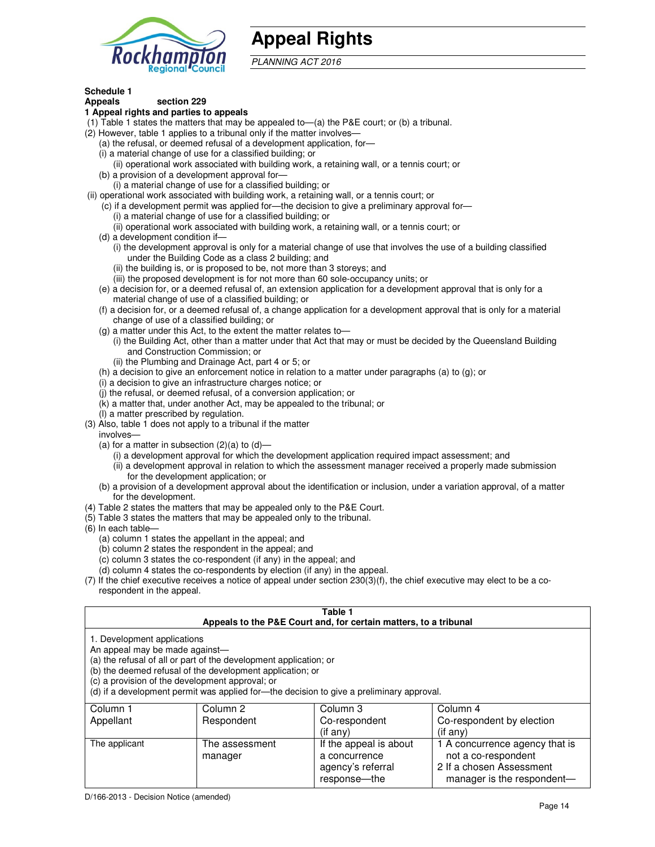

# **Appeal Rights**

PLANNING ACT 2016

# **Schedule 1**

#### **Appeals section 229 1 Appeal rights and parties to appeals**

- (1) Table 1 states the matters that may be appealed to—(a) the P&E court; or (b) a tribunal.
- (2) However, table 1 applies to a tribunal only if the matter involves—
	- (a) the refusal, or deemed refusal of a development application, for—
	- (i) a material change of use for a classified building; or
	- (ii) operational work associated with building work, a retaining wall, or a tennis court; or (b) a provision of a development approval for—
	- (i) a material change of use for a classified building; or
- (ii) operational work associated with building work, a retaining wall, or a tennis court; or
	- (c) if a development permit was applied for—the decision to give a preliminary approval for—
		- (i) a material change of use for a classified building; or
		- (ii) operational work associated with building work, a retaining wall, or a tennis court; or
	- (d) a development condition if—
		- (i) the development approval is only for a material change of use that involves the use of a building classified under the Building Code as a class 2 building; and
		- (ii) the building is, or is proposed to be, not more than 3 storeys; and
		- (iii) the proposed development is for not more than 60 sole-occupancy units; or
	- (e) a decision for, or a deemed refusal of, an extension application for a development approval that is only for a material change of use of a classified building; or
	- (f) a decision for, or a deemed refusal of, a change application for a development approval that is only for a material change of use of a classified building; or
	- (g) a matter under this Act, to the extent the matter relates to—
		- (i) the Building Act, other than a matter under that Act that may or must be decided by the Queensland Building and Construction Commission; or
		- (ii) the Plumbing and Drainage Act, part 4 or 5; or
	- (h) a decision to give an enforcement notice in relation to a matter under paragraphs (a) to (g); or
	- (i) a decision to give an infrastructure charges notice; or
	- (j) the refusal, or deemed refusal, of a conversion application; or
	- (k) a matter that, under another Act, may be appealed to the tribunal; or
	- (l) a matter prescribed by regulation.
- (3) Also, table 1 does not apply to a tribunal if the matter
- involves—
	- (a) for a matter in subsection  $(2)(a)$  to  $(d)$ 
		- (i) a development approval for which the development application required impact assessment; and
		- (ii) a development approval in relation to which the assessment manager received a properly made submission for the development application; or
	- (b) a provision of a development approval about the identification or inclusion, under a variation approval, of a matter for the development.
- (4) Table 2 states the matters that may be appealed only to the P&E Court.
- (5) Table 3 states the matters that may be appealed only to the tribunal.
- (6) In each table—
	- (a) column 1 states the appellant in the appeal; and
	- (b) column 2 states the respondent in the appeal; and
	- (c) column 3 states the co-respondent (if any) in the appeal; and
	- (d) column 4 states the co-respondents by election (if any) in the appeal.
- (7) If the chief executive receives a notice of appeal under section 230(3)(f), the chief executive may elect to be a corespondent in the appeal.

| Table 1<br>Appeals to the P&E Court and, for certain matters, to a tribunal                                                                                                                                                                                                                                                                    |                           |                                                              |                                                                                   |  |
|------------------------------------------------------------------------------------------------------------------------------------------------------------------------------------------------------------------------------------------------------------------------------------------------------------------------------------------------|---------------------------|--------------------------------------------------------------|-----------------------------------------------------------------------------------|--|
| 1. Development applications<br>An appeal may be made against-<br>(a) the refusal of all or part of the development application; or<br>(b) the deemed refusal of the development application; or<br>(c) a provision of the development approval; or<br>(d) if a development permit was applied for—the decision to give a preliminary approval. |                           |                                                              |                                                                                   |  |
| Column <sub>2</sub><br>Column 3<br>Column 4<br>Column 1<br>Appellant<br>Co-respondent<br>Co-respondent by election<br>Respondent<br>$($ if any $)$<br>$($ if any $)$                                                                                                                                                                           |                           |                                                              |                                                                                   |  |
| The applicant                                                                                                                                                                                                                                                                                                                                  | The assessment<br>manager | If the appeal is about<br>a concurrence<br>agency's referral | 1 A concurrence agency that is<br>not a co-respondent<br>2 If a chosen Assessment |  |

response—the

manager is the respondent-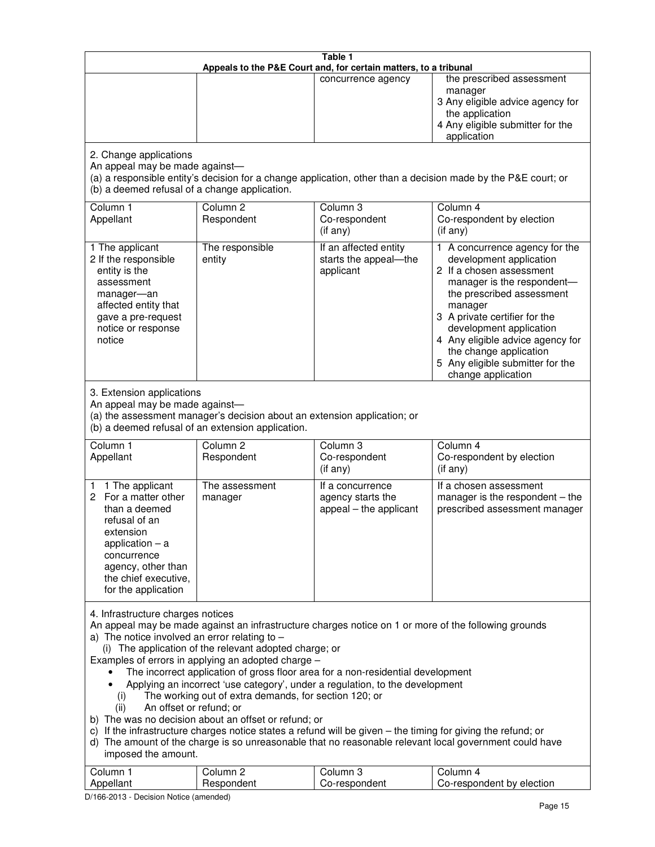| Table 1<br>Appeals to the P&E Court and, for certain matters, to a tribunal                                                                                                                                                                                                                                                                                                                                                                                                                                                                                                                                                                                                                                                                                                                                                                                                                                                                                       |                                                                                                                               |                                                                 |                                                                                                                                                                                                                                                                                                                                                 |  |
|-------------------------------------------------------------------------------------------------------------------------------------------------------------------------------------------------------------------------------------------------------------------------------------------------------------------------------------------------------------------------------------------------------------------------------------------------------------------------------------------------------------------------------------------------------------------------------------------------------------------------------------------------------------------------------------------------------------------------------------------------------------------------------------------------------------------------------------------------------------------------------------------------------------------------------------------------------------------|-------------------------------------------------------------------------------------------------------------------------------|-----------------------------------------------------------------|-------------------------------------------------------------------------------------------------------------------------------------------------------------------------------------------------------------------------------------------------------------------------------------------------------------------------------------------------|--|
|                                                                                                                                                                                                                                                                                                                                                                                                                                                                                                                                                                                                                                                                                                                                                                                                                                                                                                                                                                   |                                                                                                                               | concurrence agency                                              | the prescribed assessment<br>manager<br>3 Any eligible advice agency for<br>the application<br>4 Any eligible submitter for the<br>application                                                                                                                                                                                                  |  |
| 2. Change applications<br>An appeal may be made against-<br>(b) a deemed refusal of a change application.                                                                                                                                                                                                                                                                                                                                                                                                                                                                                                                                                                                                                                                                                                                                                                                                                                                         |                                                                                                                               |                                                                 | (a) a responsible entity's decision for a change application, other than a decision made by the P&E court; or                                                                                                                                                                                                                                   |  |
| Column 1<br>Appellant                                                                                                                                                                                                                                                                                                                                                                                                                                                                                                                                                                                                                                                                                                                                                                                                                                                                                                                                             | Column <sub>2</sub><br>Respondent                                                                                             | Column <sub>3</sub><br>Co-respondent<br>(if any)                | Column 4<br>Co-respondent by election<br>(if any)                                                                                                                                                                                                                                                                                               |  |
| 1 The applicant<br>2 If the responsible<br>entity is the<br>assessment<br>manager-an<br>affected entity that<br>gave a pre-request<br>notice or response<br>notice                                                                                                                                                                                                                                                                                                                                                                                                                                                                                                                                                                                                                                                                                                                                                                                                | The responsible<br>entity                                                                                                     | If an affected entity<br>starts the appeal-the<br>applicant     | 1 A concurrence agency for the<br>development application<br>2 If a chosen assessment<br>manager is the respondent-<br>the prescribed assessment<br>manager<br>3 A private certifier for the<br>development application<br>4 Any eligible advice agency for<br>the change application<br>5 Any eligible submitter for the<br>change application |  |
| 3. Extension applications<br>An appeal may be made against-                                                                                                                                                                                                                                                                                                                                                                                                                                                                                                                                                                                                                                                                                                                                                                                                                                                                                                       | (a) the assessment manager's decision about an extension application; or<br>(b) a deemed refusal of an extension application. |                                                                 |                                                                                                                                                                                                                                                                                                                                                 |  |
| Column 1<br>Appellant                                                                                                                                                                                                                                                                                                                                                                                                                                                                                                                                                                                                                                                                                                                                                                                                                                                                                                                                             | Column <sub>2</sub><br>Respondent                                                                                             | Column 3<br>Co-respondent<br>(if any)                           | Column 4<br>Co-respondent by election<br>(if any)                                                                                                                                                                                                                                                                                               |  |
| 1 The applicant<br>1.<br>For a matter other<br>2<br>than a deemed<br>refusal of an<br>extension<br>application $-$ a<br>concurrence<br>agency, other than<br>the chief executive,<br>for the application                                                                                                                                                                                                                                                                                                                                                                                                                                                                                                                                                                                                                                                                                                                                                          | The assessment<br>manager                                                                                                     | If a concurrence<br>agency starts the<br>appeal - the applicant | If a chosen assessment<br>manager is the respondent - the<br>prescribed assessment manager                                                                                                                                                                                                                                                      |  |
| 4. Infrastructure charges notices<br>An appeal may be made against an infrastructure charges notice on 1 or more of the following grounds<br>a) The notice involved an error relating to $-$<br>(i) The application of the relevant adopted charge; or<br>Examples of errors in applying an adopted charge -<br>The incorrect application of gross floor area for a non-residential development<br>Applying an incorrect 'use category', under a regulation, to the development<br>The working out of extra demands, for section 120; or<br>(i)<br>An offset or refund; or<br>(ii)<br>b) The was no decision about an offset or refund; or<br>c) If the infrastructure charges notice states a refund will be given - the timing for giving the refund; or<br>d) The amount of the charge is so unreasonable that no reasonable relevant local government could have<br>imposed the amount.<br>Column 1<br>Column <sub>2</sub><br>Column <sub>3</sub><br>Column 4 |                                                                                                                               |                                                                 |                                                                                                                                                                                                                                                                                                                                                 |  |
| Appellant                                                                                                                                                                                                                                                                                                                                                                                                                                                                                                                                                                                                                                                                                                                                                                                                                                                                                                                                                         | Respondent                                                                                                                    | Co-respondent                                                   | Co-respondent by election                                                                                                                                                                                                                                                                                                                       |  |

D/166-2013 - Decision Notice (amended)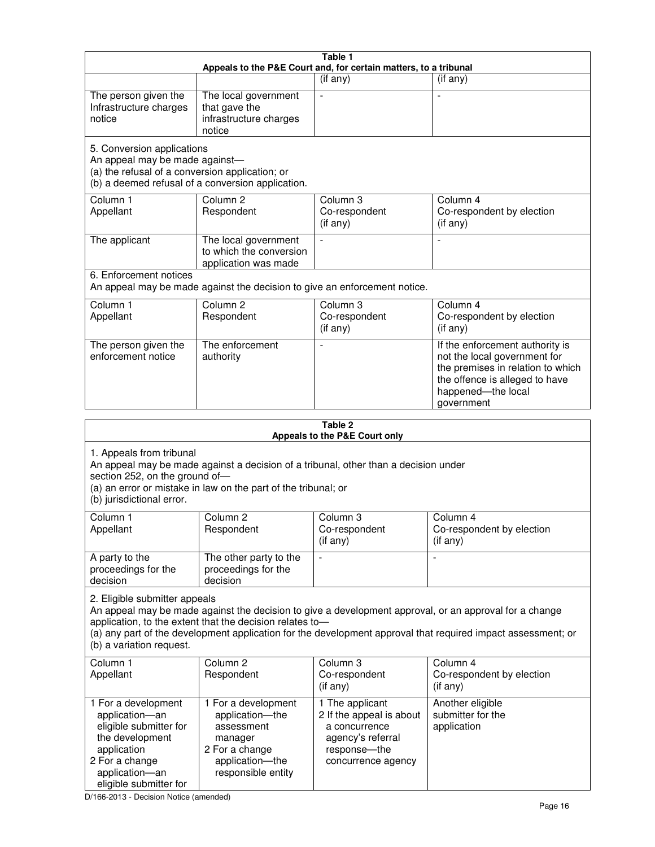| Table 1<br>Appeals to the P&E Court and, for certain matters, to a tribunal                                                                                                                                                                                                                                                                     |                                                                                                                                                       |                                                                                                                         |                                                                                                                                                                            |  |
|-------------------------------------------------------------------------------------------------------------------------------------------------------------------------------------------------------------------------------------------------------------------------------------------------------------------------------------------------|-------------------------------------------------------------------------------------------------------------------------------------------------------|-------------------------------------------------------------------------------------------------------------------------|----------------------------------------------------------------------------------------------------------------------------------------------------------------------------|--|
|                                                                                                                                                                                                                                                                                                                                                 |                                                                                                                                                       | (if any)                                                                                                                | $($ if any $)$                                                                                                                                                             |  |
| The person given the<br>Infrastructure charges<br>notice                                                                                                                                                                                                                                                                                        | The local government<br>that gave the<br>infrastructure charges<br>notice                                                                             | $\blacksquare$                                                                                                          |                                                                                                                                                                            |  |
| 5. Conversion applications<br>An appeal may be made against-<br>(a) the refusal of a conversion application; or                                                                                                                                                                                                                                 | (b) a deemed refusal of a conversion application.                                                                                                     |                                                                                                                         |                                                                                                                                                                            |  |
| Column 1<br>Appellant                                                                                                                                                                                                                                                                                                                           | Column <sub>2</sub><br>Respondent                                                                                                                     | Column 3<br>Co-respondent<br>(if any)                                                                                   | Column 4<br>Co-respondent by election<br>(if any)                                                                                                                          |  |
| The applicant                                                                                                                                                                                                                                                                                                                                   | The local government<br>to which the conversion<br>application was made                                                                               | $\blacksquare$                                                                                                          | $\overline{\phantom{a}}$                                                                                                                                                   |  |
| 6. Enforcement notices                                                                                                                                                                                                                                                                                                                          | An appeal may be made against the decision to give an enforcement notice.                                                                             |                                                                                                                         |                                                                                                                                                                            |  |
| Column 1<br>Appellant                                                                                                                                                                                                                                                                                                                           | Column <sub>2</sub><br>Respondent                                                                                                                     | Column 3<br>Co-respondent<br>(if any)                                                                                   | Column 4<br>Co-respondent by election<br>(if any)                                                                                                                          |  |
| The person given the<br>enforcement notice                                                                                                                                                                                                                                                                                                      | The enforcement<br>authority                                                                                                                          |                                                                                                                         | If the enforcement authority is<br>not the local government for<br>the premises in relation to which<br>the offence is alleged to have<br>happened-the local<br>government |  |
|                                                                                                                                                                                                                                                                                                                                                 |                                                                                                                                                       | Table 2<br>Appeals to the P&E Court only                                                                                |                                                                                                                                                                            |  |
| 1. Appeals from tribunal<br>section 252, on the ground of-<br>(b) jurisdictional error.                                                                                                                                                                                                                                                         | An appeal may be made against a decision of a tribunal, other than a decision under<br>(a) an error or mistake in law on the part of the tribunal; or |                                                                                                                         |                                                                                                                                                                            |  |
| Column 1<br>Appellant                                                                                                                                                                                                                                                                                                                           | Column 2<br>Respondent                                                                                                                                | Column 3<br>Co-respondent<br>$($ if any $)$                                                                             | Column 4<br>Co-respondent by election<br>(i f any)                                                                                                                         |  |
| A party to the<br>proceedings for the<br>decision                                                                                                                                                                                                                                                                                               | The other party to the<br>proceedings for the<br>decision                                                                                             | $\qquad \qquad \blacksquare$                                                                                            |                                                                                                                                                                            |  |
| 2. Eligible submitter appeals<br>An appeal may be made against the decision to give a development approval, or an approval for a change<br>application, to the extent that the decision relates to-<br>(a) any part of the development application for the development approval that required impact assessment; or<br>(b) a variation request. |                                                                                                                                                       |                                                                                                                         |                                                                                                                                                                            |  |
| Column 1<br>Appellant                                                                                                                                                                                                                                                                                                                           | Column 2<br>Respondent                                                                                                                                | Column 3<br>Co-respondent<br>$($ if any $)$                                                                             | Column 4<br>Co-respondent by election<br>(if any)                                                                                                                          |  |
| 1 For a development<br>application-an<br>eligible submitter for<br>the development<br>application<br>2 For a change                                                                                                                                                                                                                             | 1 For a development<br>application-the<br>assessment<br>manager<br>2 For a change<br>application-the                                                  | 1 The applicant<br>2 If the appeal is about<br>a concurrence<br>agency's referral<br>response-the<br>concurrence agency | Another eligible<br>submitter for the<br>application                                                                                                                       |  |

D/166-2013 - Decision Notice (amended)

eligible submitter for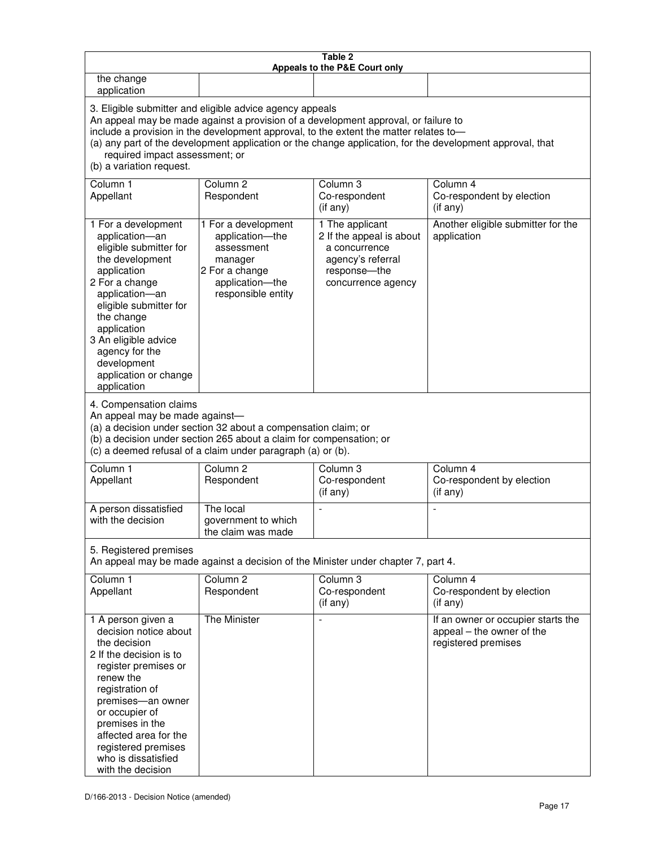| Table 2<br>Appeals to the P&E Court only                                                                                                                                                                                                                                                                                                                                                                           |                                                                                                                                                                                                      |                                                                                                                         |                                                                                        |  |
|--------------------------------------------------------------------------------------------------------------------------------------------------------------------------------------------------------------------------------------------------------------------------------------------------------------------------------------------------------------------------------------------------------------------|------------------------------------------------------------------------------------------------------------------------------------------------------------------------------------------------------|-------------------------------------------------------------------------------------------------------------------------|----------------------------------------------------------------------------------------|--|
| the change<br>application                                                                                                                                                                                                                                                                                                                                                                                          |                                                                                                                                                                                                      |                                                                                                                         |                                                                                        |  |
| 3. Eligible submitter and eligible advice agency appeals<br>An appeal may be made against a provision of a development approval, or failure to<br>include a provision in the development approval, to the extent the matter relates to-<br>(a) any part of the development application or the change application, for the development approval, that<br>required impact assessment; or<br>(b) a variation request. |                                                                                                                                                                                                      |                                                                                                                         |                                                                                        |  |
| Column 1<br>Appellant                                                                                                                                                                                                                                                                                                                                                                                              | Column <sub>2</sub><br>Respondent                                                                                                                                                                    | Column 3<br>Co-respondent<br>(if any)                                                                                   | Column 4<br>Co-respondent by election<br>(if any)                                      |  |
| 1 For a development<br>application-an<br>eligible submitter for<br>the development<br>application<br>2 For a change<br>application-an<br>eligible submitter for<br>the change<br>application<br>3 An eligible advice<br>agency for the<br>development<br>application or change<br>application                                                                                                                      | 1 For a development<br>application-the<br>assessment<br>manager<br>2 For a change<br>application-the<br>responsible entity                                                                           | 1 The applicant<br>2 If the appeal is about<br>a concurrence<br>agency's referral<br>response-the<br>concurrence agency | Another eligible submitter for the<br>application                                      |  |
| 4. Compensation claims<br>An appeal may be made against-                                                                                                                                                                                                                                                                                                                                                           | (a) a decision under section 32 about a compensation claim; or<br>(b) a decision under section 265 about a claim for compensation; or<br>(c) a deemed refusal of a claim under paragraph (a) or (b). |                                                                                                                         |                                                                                        |  |
| Column <sub>1</sub><br>Appellant                                                                                                                                                                                                                                                                                                                                                                                   | Column <sub>2</sub><br>Respondent                                                                                                                                                                    | Column 3<br>Co-respondent<br>(if any)                                                                                   | Column 4<br>Co-respondent by election<br>(if any)                                      |  |
| A person dissatisfied<br>with the decision                                                                                                                                                                                                                                                                                                                                                                         | The local<br>government to which<br>the claim was made                                                                                                                                               |                                                                                                                         |                                                                                        |  |
| 5. Registered premises                                                                                                                                                                                                                                                                                                                                                                                             |                                                                                                                                                                                                      | An appeal may be made against a decision of the Minister under chapter 7, part 4.                                       |                                                                                        |  |
| Column <sub>1</sub><br>Appellant                                                                                                                                                                                                                                                                                                                                                                                   | Column <sub>2</sub><br>Respondent                                                                                                                                                                    | Column <sub>3</sub><br>Co-respondent<br>(if any)                                                                        | Column 4<br>Co-respondent by election<br>(i f any)                                     |  |
| 1 A person given a<br>decision notice about<br>the decision<br>2 If the decision is to<br>register premises or<br>renew the<br>registration of<br>premises-an owner<br>or occupier of<br>premises in the<br>affected area for the<br>registered premises<br>who is dissatisfied<br>with the decision                                                                                                               | The Minister                                                                                                                                                                                         | L,                                                                                                                      | If an owner or occupier starts the<br>appeal – the owner of the<br>registered premises |  |